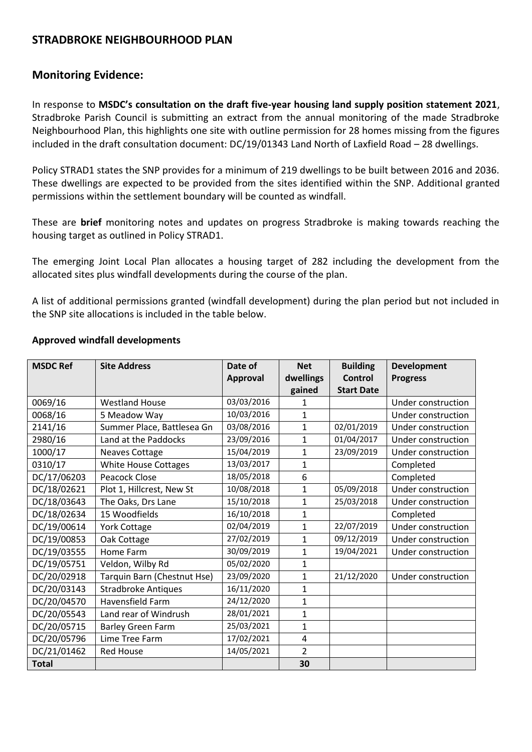# **STRADBROKE NEIGHBOURHOOD PLAN**

## **Monitoring Evidence:**

In response to **MSDC's consultation on the draft five-year housing land supply position statement 2021**, Stradbroke Parish Council is submitting an extract from the annual monitoring of the made Stradbroke Neighbourhood Plan, this highlights one site with outline permission for 28 homes missing from the figures included in the draft consultation document: DC/19/01343 Land North of Laxfield Road – 28 dwellings.

Policy STRAD1 states the SNP provides for a minimum of 219 dwellings to be built between 2016 and 2036. These dwellings are expected to be provided from the sites identified within the SNP. Additional granted permissions within the settlement boundary will be counted as windfall.

These are **brief** monitoring notes and updates on progress Stradbroke is making towards reaching the housing target as outlined in Policy STRAD1.

The emerging Joint Local Plan allocates a housing target of 282 including the development from the allocated sites plus windfall developments during the course of the plan.

A list of additional permissions granted (windfall development) during the plan period but not included in the SNP site allocations is included in the table below.

| <b>MSDC Ref</b> | <b>Site Address</b>         | Date of         | <b>Net</b>     | <b>Building</b>   | <b>Development</b> |
|-----------------|-----------------------------|-----------------|----------------|-------------------|--------------------|
|                 |                             | <b>Approval</b> | dwellings      | <b>Control</b>    | <b>Progress</b>    |
|                 |                             |                 | gained         | <b>Start Date</b> |                    |
| 0069/16         | <b>Westland House</b>       | 03/03/2016      | 1              |                   | Under construction |
| 0068/16         | 5 Meadow Way                | 10/03/2016      | $\mathbf{1}$   |                   | Under construction |
| 2141/16         | Summer Place, Battlesea Gn  | 03/08/2016      | $\mathbf{1}$   | 02/01/2019        | Under construction |
| 2980/16         | Land at the Paddocks        | 23/09/2016      | $\mathbf{1}$   | 01/04/2017        | Under construction |
| 1000/17         | <b>Neaves Cottage</b>       | 15/04/2019      | $\mathbf{1}$   | 23/09/2019        | Under construction |
| 0310/17         | <b>White House Cottages</b> | 13/03/2017      | $\mathbf{1}$   |                   | Completed          |
| DC/17/06203     | Peacock Close               | 18/05/2018      | 6              |                   | Completed          |
| DC/18/02621     | Plot 1, Hillcrest, New St   | 10/08/2018      | $\mathbf{1}$   | 05/09/2018        | Under construction |
| DC/18/03643     | The Oaks, Drs Lane          | 15/10/2018      | $\mathbf{1}$   | 25/03/2018        | Under construction |
| DC/18/02634     | 15 Woodfields               | 16/10/2018      | $\mathbf{1}$   |                   | Completed          |
| DC/19/00614     | <b>York Cottage</b>         | 02/04/2019      | $\mathbf{1}$   | 22/07/2019        | Under construction |
| DC/19/00853     | Oak Cottage                 | 27/02/2019      | $\mathbf{1}$   | 09/12/2019        | Under construction |
| DC/19/03555     | Home Farm                   | 30/09/2019      | $\mathbf{1}$   | 19/04/2021        | Under construction |
| DC/19/05751     | Veldon, Wilby Rd            | 05/02/2020      | $\mathbf{1}$   |                   |                    |
| DC/20/02918     | Tarquin Barn (Chestnut Hse) | 23/09/2020      | $\mathbf{1}$   | 21/12/2020        | Under construction |
| DC/20/03143     | <b>Stradbroke Antiques</b>  | 16/11/2020      | $\mathbf{1}$   |                   |                    |
| DC/20/04570     | Havensfield Farm            | 24/12/2020      | $\mathbf{1}$   |                   |                    |
| DC/20/05543     | Land rear of Windrush       | 28/01/2021      | 1              |                   |                    |
| DC/20/05715     | <b>Barley Green Farm</b>    | 25/03/2021      | $\mathbf{1}$   |                   |                    |
| DC/20/05796     | Lime Tree Farm              | 17/02/2021      | 4              |                   |                    |
| DC/21/01462     | <b>Red House</b>            | 14/05/2021      | $\overline{2}$ |                   |                    |
| <b>Total</b>    |                             |                 | 30             |                   |                    |

#### **Approved windfall developments**